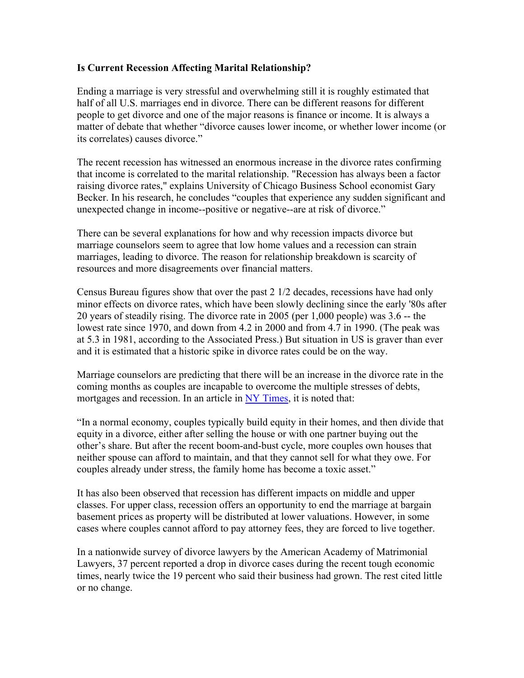## **Is Current Recession Affecting Marital Relationship?**

Ending a marriage is very stressful and overwhelming still it is roughly estimated that half of all U.S. marriages end in divorce. There can be different reasons for different people to get divorce and one of the major reasons is finance or income. It is always a matter of debate that whether "divorce causes lower income, or whether lower income (or its correlates) causes divorce."

The recent recession has witnessed an enormous increase in the divorce rates confirming that income is correlated to the marital relationship. "Recession has always been a factor raising divorce rates," explains University of Chicago Business School economist Gary Becker. In his research, he concludes "couples that experience any sudden significant and unexpected change in income--positive or negative--are at risk of divorce."

There can be several explanations for how and why recession impacts divorce but marriage counselors seem to agree that low home values and a recession can strain marriages, leading to divorce. The reason for relationship breakdown is scarcity of resources and more disagreements over financial matters.

Census Bureau figures show that over the past 2 1/2 decades, recessions have had only minor effects on divorce rates, which have been slowly declining since the early '80s after 20 years of steadily rising. The divorce rate in 2005 (per 1,000 people) was 3.6 -- the lowest rate since 1970, and down from 4.2 in 2000 and from 4.7 in 1990. (The peak was at 5.3 in 1981, according to the Associated Press.) But situation in US is graver than ever and it is estimated that a historic spike in divorce rates could be on the way.

Marriage counselors are predicting that there will be an increase in the divorce rate in the coming months as couples are incapable to overcome the multiple stresses of debts, mortgages and recession. In an article in NY Times, it is noted that:

"In a normal economy, couples typically build equity in their homes, and then divide that equity in a divorce, either after selling the house or with one partner buying out the other's share. But after the recent boom-and-bust cycle, more couples own houses that neither spouse can afford to maintain, and that they cannot sell for what they owe. For couples already under stress, the family home has become a toxic asset."

It has also been observed that recession has different impacts on middle and upper classes. For upper class, recession offers an opportunity to end the marriage at bargain basement prices as property will be distributed at lower valuations. However, in some cases where couples cannot afford to pay attorney fees, they are forced to live together.

In a nationwide survey of divorce lawyers by the American Academy of Matrimonial Lawyers, 37 percent reported a drop in divorce cases during the recent tough economic times, nearly twice the 19 percent who said their business had grown. The rest cited little or no change.